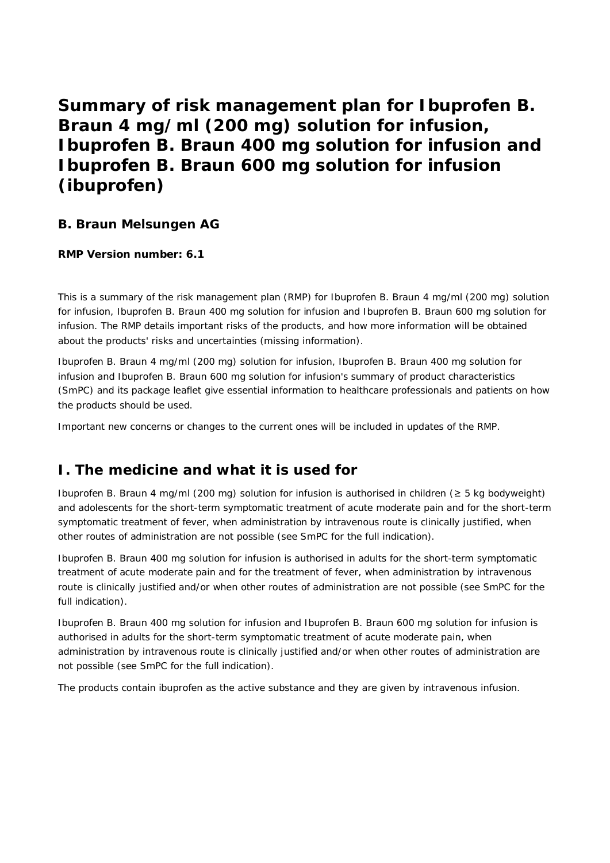**Summary of risk management plan for Ibuprofen B. Braun 4 mg/ml (200 mg) solution for infusion, Ibuprofen B. Braun 400 mg solution for infusion and Ibuprofen B. Braun 600 mg solution for infusion (ibuprofen)**

## **B. Braun Melsungen AG**

**RMP Version number: 6.1**

This is a summary of the risk management plan (RMP) for Ibuprofen B. Braun 4 mg/ml (200 mg) solution for infusion, Ibuprofen B. Braun 400 mg solution for infusion and Ibuprofen B. Braun 600 mg solution for infusion. The RMP details important risks of the products, and how more information will be obtained about the products' risks and uncertainties (missing information).

Ibuprofen B. Braun 4 mg/ml (200 mg) solution for infusion, Ibuprofen B. Braun 400 mg solution for infusion and Ibuprofen B. Braun 600 mg solution for infusion's summary of product characteristics (SmPC) and its package leaflet give essential information to healthcare professionals and patients on how the products should be used.

Important new concerns or changes to the current ones will be included in updates of the RMP.

# **I. The medicine and what it is used for**

Ibuprofen B. Braun 4 mg/ml (200 mg) solution for infusion is authorised in children (≥ 5 kg bodyweight) and adolescents for the short-term symptomatic treatment of acute moderate pain and for the short-term symptomatic treatment of fever, when administration by intravenous route is clinically justified, when other routes of administration are not possible (see SmPC for the full indication).

Ibuprofen B. Braun 400 mg solution for infusion is authorised in adults for the short-term symptomatic treatment of acute moderate pain and for the treatment of fever, when administration by intravenous route is clinically justified and/or when other routes of administration are not possible (see SmPC for the full indication).

Ibuprofen B. Braun 400 mg solution for infusion and Ibuprofen B. Braun 600 mg solution for infusion is authorised in adults for the short-term symptomatic treatment of acute moderate pain, when administration by intravenous route is clinically justified and/or when other routes of administration are not possible (see SmPC for the full indication).

The products contain ibuprofen as the active substance and they are given by intravenous infusion.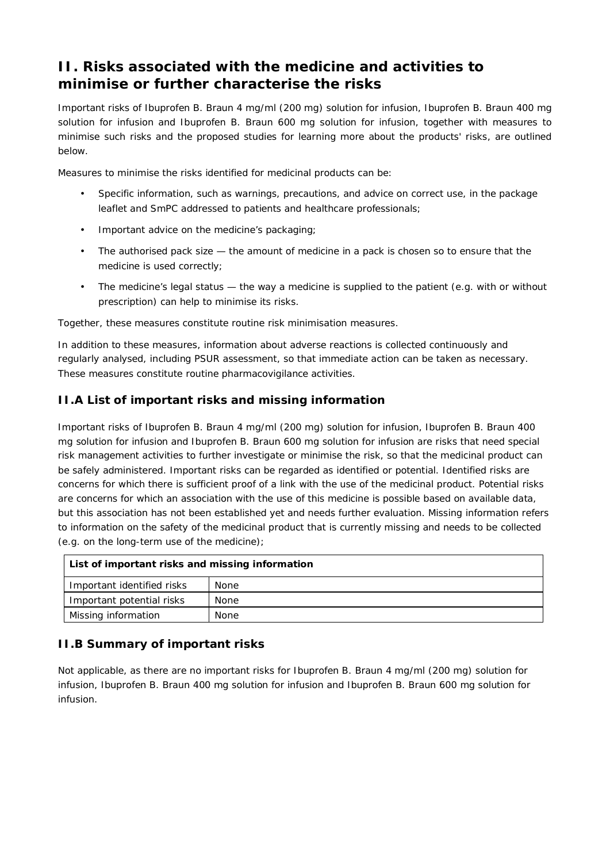# **II. Risks associated with the medicine and activities to minimise or further characterise the risks**

Important risks of Ibuprofen B. Braun 4 mg/ml (200 mg) solution for infusion, Ibuprofen B. Braun 400 mg solution for infusion and Ibuprofen B. Braun 600 mg solution for infusion, together with measures to minimise such risks and the proposed studies for learning more about the products' risks, are outlined below.

Measures to minimise the risks identified for medicinal products can be:

- Specific information, such as warnings, precautions, and advice on correct use, in the package leaflet and SmPC addressed to patients and healthcare professionals;
- Important advice on the medicine's packaging;
- The authorised pack size the amount of medicine in a pack is chosen so to ensure that the medicine is used correctly;
- The medicine's legal status the way a medicine is supplied to the patient (e.g. with or without prescription) can help to minimise its risks.

Together, these measures constitute *routine risk minimisation* measures.

In addition to these measures, information about adverse reactions is collected continuously and regularly analysed, including PSUR assessment, so that immediate action can be taken as necessary. These measures constitute *routine pharmacovigilance activities*.

#### *II.A List of important risks and missing information*

Important risks of Ibuprofen B. Braun 4 mg/ml (200 mg) solution for infusion, Ibuprofen B. Braun 400 mg solution for infusion and Ibuprofen B. Braun 600 mg solution for infusion are risks that need special risk management activities to further investigate or minimise the risk, so that the medicinal product can be safely administered. Important risks can be regarded as identified or potential. Identified risks are concerns for which there is sufficient proof of a link with the use of the medicinal product. Potential risks are concerns for which an association with the use of this medicine is possible based on available data, but this association has not been established yet and needs further evaluation. Missing information refers to information on the safety of the medicinal product that is currently missing and needs to be collected (e.g. on the long-term use of the medicine);

| List of important risks and missing information |             |
|-------------------------------------------------|-------------|
| Important identified risks                      | <b>None</b> |
| Important potential risks                       | None        |
| Missing information                             | None        |

## *II.B Summary of important risks*

Not applicable, as there are no important risks for Ibuprofen B. Braun 4 mg/ml (200 mg) solution for infusion, Ibuprofen B. Braun 400 mg solution for infusion and Ibuprofen B. Braun 600 mg solution for infusion.